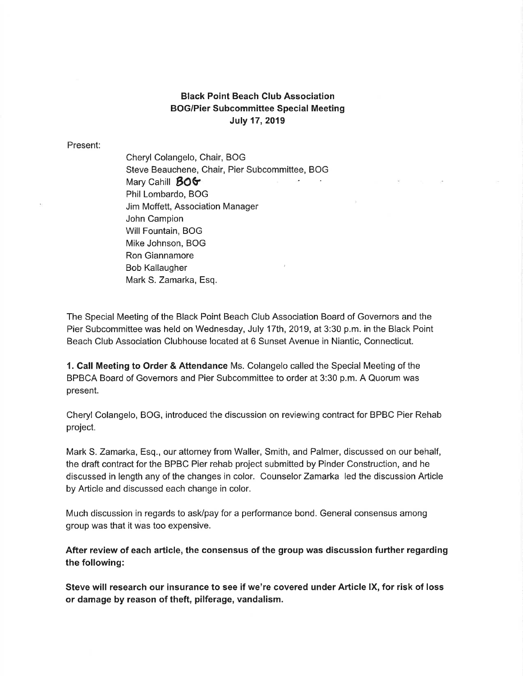## Black Point Beach Club Association BOG/Pier Subcommittee Special Meeting July 17,2019

Present:

Cheryl Colangelo, Chair, BOG Steve Beauchene, Chair, Pier Subcommittee, BOG Mary Cahill **BOG** Phil Lombardo, BOG Jim Moffett, Association Manager John Campion Will Fountain, BOG Mike Johnson, BOG Ron Giannamore Bob Kallaugher Mark S. Zamarka, Esq.

The Special Meeting of the Black Point Beach Club Association Board of Governors and the Pier Subcommittee was held on Wednesday, July 17th, 2019, at 3:30 p.m. in the Black Point Beach Club Association Clubhouse located at 6 Sunset Avenue in Niantic, Connecticut.

1. Call Meeting to Order & Attendance Ms. Colangelo called the Special Meeting of the BPBCA Board of Governors and Pier Subcommittee to order at 3:30 p.m. A Quorum was present.

Cheryl Colangelo, BOG, introduced the discussion on reviewing contract for BPBC Pier Rehab project.

Mark S. Zamarka, Esq., our attorney from Waller, Smith, and Palmer, discussed on our behalf, the draft contract for the BPBC Pier rehab project submitted by Pinder Construction, and he discussed in length any of the changes in color. Counselor Zamarka led the discussion Article by Article and discussed each change in color.

Much discussion in regards to ask/pay for a performance bond. General consensus among group was that it was too expensive.

After review of each article, the consensus of the group was discussion further regarding the following:

Steve will research our insurance to see if we're covered under Article IX, for risk of loss or damage by reason of theft, pilferage, vandalism.